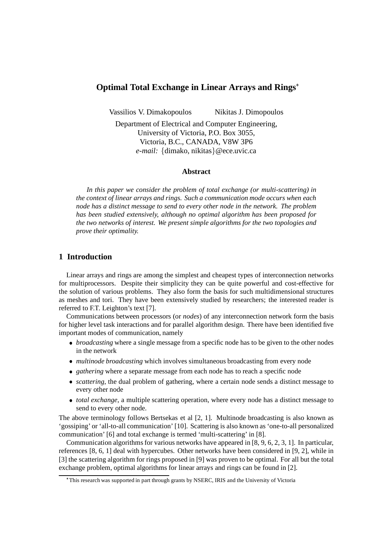# **Optimal Total Exchange in Linear Arrays and Rings**

Vassilios V. Dimakopoulos Nikitas J. Dimopoulos

Department of Electrical and Computer Engineering, University of Victoria, P.O. Box 3055, Victoria, B.C., CANADA, V8W 3P6 e-mail: {dimako, nikitas} @ece.uvic.ca

### **Abstract**

*In this paper we consider the problem of total exchange (or multi-scattering) in the context of linear arrays and rings. Such a communication mode occurs when each node has a distinct message to send to every other node in the network. The problem has been studied extensively, although no optimal algorithm has been proposed for the two networks of interest. We present simple algorithms for the two topologies and prove their optimality.*

# **1 Introduction**

Linear arrays and rings are among the simplest and cheapest types of interconnection networks for multiprocessors. Despite their simplicity they can be quite powerful and cost-effective for the solution of various problems. They also form the basis for such multidimensional structures as meshes and tori. They have been extensively studied by researchers; the interested reader is referred to F.T. Leighton's text [7].

Communications between processors (or *nodes*) of any interconnection network form the basis for higher level task interactions and for parallel algorithm design. There have been identified five important modes of communication, namely

- *broadcasting* where a single message from a specific node has to be given to the other nodes in the network
- *multinode broadcasting* which involves simultaneous broadcasting from every node
- *gathering* where a separate message from each node has to reach a specific node
- *scattering*, the dual problem of gathering, where a certain node sends a distinct message to every other node
- *total exchange*, a multiple scattering operation, where every node has a distinct message to send to every other node.

The above terminology follows Bertsekas et al [2, 1]. Multinode broadcasting is also known as 'gossiping' or 'all-to-all communication' [10]. Scattering is also known as 'one-to-all personalized communication' [6] and total exchange is termed 'multi-scattering' in [8].

Communication algorithms for various networks have appeared in [8, 9, 6, 2, 3, 1]. In particular, references [8, 6, 1] deal with hypercubes. Other networks have been considered in [9, 2], while in [3] the scattering algorithm for rings proposed in [9] was proven to be optimal. For all but the total exchange problem, optimal algorithms for linear arrays and rings can be found in [2].

This research was supported in part through grants by NSERC, IRIS and the University of Victoria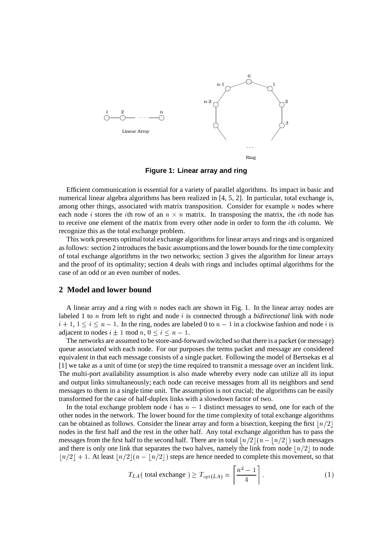

**Figure 1: Linear array and ring**

Efficient communication is essential for a variety of parallel algorithms. Its impact in basic and numerical linear algebra algorithms has been realized in [4, 5, 2]. In particular, total exchange is, among other things, associated with matrix transposition. Consider for example  $n$  nodes where each node *i* stores the *i*th row of an  $n \times n$  matrix. In transposing the matrix, the *i*th node has to receive one element of the matrix from every other node in order to form the *i*th column. We recognize this as the total exchange problem.

This work presents optimal total exchange algorithms for linear arrays and rings and is organized as follows: section 2 introduces the basic assumptions and the lower bounds for the time complexity of total exchange algorithms in the two networks; section 3 gives the algorithm for linear arrays and the proof of its optimality; section 4 deals with rings and includes optimal algorithms for the case of an odd or an even number of nodes.

# **2 Model and lower bound**

A linear array and a ring with  $n$  nodes each are shown in Fig. 1. In the linear array nodes are labeled 1 to  $n$  from left to right and node  $i$  is connected through a *bidirectional* link with node  $i + 1, 1 \le i \le n - 1$ . In the ring, nodes are labeled 0 to  $n - 1$  in a clockwise fashion and node i is adjacent to nodes  $i \pm 1 \mod n$ ,  $0 \le i \le n - 1$ .

The networks are assumed to be store-and-forward switched so that there is a packet (or message) queue associated with each node. For our purposes the terms packet and message are considered equivalent in that each message consists of a single packet. Following the model of Bertsekas et al [1] we take as a unit of time (or *step*) the time required to transmit a message over an incident link. The multi-port availability assumption is also made whereby every node can utilize all its input and output links simultaneously; each node can receive messages from all its neighbors and send messages to them in a single time unit. The assumption is not crucial; the algorithms can be easily transformed for the case of half-duplex links with a slowdown factor of two.

In the total exchange problem node  $i$  has  $n-1$  distinct messages to send, one for each of the other nodes in the network. The lower bound for the time complexity of total exchange algorithms can be obtained as follows. Consider the linear array and form a bisection, keeping the first  $\lfloor n/2 \rfloor$ nodes in the first half and the rest in the other half. Any total exchange algorithm has to pass the messages from the first half to the second half. There are in total  $\lfloor n/2 \rfloor (n - \lfloor n/2 \rfloor)$  such messages and there is only one link that separates the two halves, namely the link from node  $\lfloor n/2 \rfloor$  to node  $\lfloor n/2 \rfloor + 1$ . At least  $\lfloor n/2 \rfloor (n - \lfloor n/2 \rfloor)$  steps are hence needed to complete this movement, so that

$$
T_{LA}(\text{ total exchange}) \ge T_{opt(LA)} = \left[\frac{n^2 - 1}{4}\right].\tag{1}
$$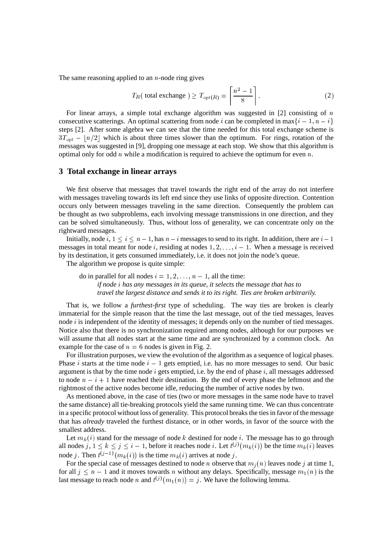The same reasoning applied to an  $n$ -node ring gives

$$
T_R(\text{ total exchange}) \ge T_{opt(R)} = \left[\frac{n^2 - 1}{8}\right].\tag{2}
$$

For linear arrays, a simple total exchange algorithm was suggested in [2] consisting of  $n$ consecutive scatterings. An optimal scattering from node *i* can be completed in max $\{i-1, n-i\}$ steps [2]. After some algebra we can see that the time needed for this total exchange scheme is  $3T_{opt} - |n/2|$  which is about three times slower than the optimum. For rings, rotation of the messages was suggested in [9], dropping one message at each stop. We show that this algorithm is optimal only for odd  $n$  while a modification is required to achieve the optimum for even  $n$ .

# **3 Total exchange in linear arrays**

We first observe that messages that travel towards the right end of the array do not interfere with messages traveling towards its left end since they use links of opposite direction. Contention occurs only between messages traveling in the same direction. Consequently the problem can be thought as two subproblems, each involving message transmissions in one direction, and they can be solved simultaneously. Thus, without loss of generality, we can concentrate only on the rightward messages.

Initially, node  $i, 1 \le i \le n-1$ , has  $n-i$  messages to send to its right. In addition, there are  $i-1$ messages in total meant for node *i*, residing at nodes  $1, 2, \ldots, i - 1$ . When a message is received by its destination, it gets consumed immediately, i.e. it does not join the node's queue.

The algorithm we propose is quite simple:

do in parallel for all nodes  $i = 1, 2, \dots, n - 1$ , all the time: *if node has any messages in its queue, it selects the message that has to travel the largest distance and sends it to its right. Ties are broken arbitrarily.*

That is, we follow a *furthest-first* type of scheduling. The way ties are broken is clearly immaterial for the simple reason that the time the last message, out of the tied messages, leaves node  $i$  is independent of the identity of messages; it depends only on the number of tied messages. Notice also that there is no synchronization required among nodes, although for our purposes we will assume that all nodes start at the same time and are synchronized by a common clock. An example for the case of  $n = 6$  nodes is given in Fig. 2.

For illustration purposes, we view the evolution of the algorithm as a sequence of logical phases. Phase *i* starts at the time node  $i - 1$  gets emptied, i.e. has no more messages to send. Our basic argument is that by the time node  $i$  gets emptied, i.e. by the end of phase  $i$ , all messages addressed to node  $n - i + 1$  have reached their destination. By the end of every phase the leftmost and the rightmost of the active nodes become idle, reducing the number of active nodes by two.

As mentioned above, in the case of ties (two or more messages in the same node have to travel the same distance) all tie-breaking protocols yield the same running time. We can thus concentrate in a specific protocol without loss of generality. This protocol breaks the ties in favor of the message that has *already* traveled the furthest distance, or in other words, in favor of the source with the smallest address.

Let  $m_k(i)$  stand for the message of node k destined for node i. The message has to go through all nodes  $j, 1 \leq k \leq j \leq i-1$ , before it reaches node i. Let  $t^{(j)}(m_k(i))$  be the time  $m_k(i)$  leaves node j. Then  $t^{(j-1)}(m_k(i))$  is the time  $m_k(i)$  arrives at node j.

For the special case of messages destined to node *n* observe that  $m_j(n)$  leaves node *j* at time 1, for all  $j \leq n-1$  and it moves towards n without any delays. Specifically, message  $m_1(n)$  is the last message to reach node *n* and  $t^{(j)}(m_1(n)) = j$ . We have the following lemma.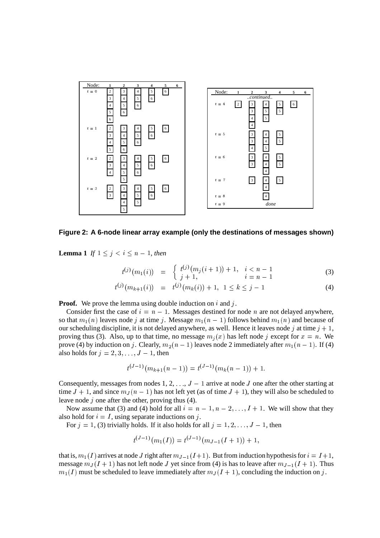

**Figure 2: A 6-node linear array example (only the destinations of messages shown)**

**Lemma 1** If  $1 \leq j \leq i \leq n-1$ , then

$$
t^{(j)}(m_1(i)) = \begin{cases} t^{(j)}(m_j(i+1)) + 1, & i < n-1 \\ j+1, & i = n-1 \end{cases}
$$
 (3)

$$
t^{(j)}(m_{k+1}(i)) = t^{(j)}(m_k(i)) + 1, \ 1 \le k \le j - 1 \tag{4}
$$

**Proof.** We prove the lemma using double induction on  $i$  and  $j$ .

Consider first the case of  $i = n - 1$ . Messages destined for node *n* are not delayed anywhere, so that  $m_1(n)$  leaves node j at time j. Message  $m_1(n-1)$  follows behind  $m_1(n)$  and because of our scheduling discipline, it is not delayed anywhere, as well. Hence it leaves node j at time  $j + 1$ , proving thus (3). Also, up to that time, no message  $m_i(x)$  has left node j except for  $x = n$ . We prove (4) by induction on j. Clearly,  $m_2(n-1)$  leaves node 2 immediately after  $m_1(n-1)$ . If (4) also holds for  $j = 2, 3, \ldots, J - 1$ , then

$$
t^{(J-1)}(m_{k+1}(n-1)) = t^{(J-1)}(m_k(n-1)) + 1.
$$

Consequently, messages from nodes 1, 2,  $\dots$ ,  $J-1$  arrive at node J one after the other starting at time  $J + 1$ , and since  $m_J(n - 1)$  has not left yet (as of time  $J + 1$ ), they will also be scheduled to leave node  $j$  one after the other, proving thus (4).

Now assume that (3) and (4) hold for all  $i = n - 1, n - 2, \ldots, I + 1$ . We will show that they also hold for  $i = I$ , using separate inductions on j.

For  $j = 1, (3)$  trivially holds. If it also holds for all  $j = 1, 2, \ldots, J - 1$ , then

$$
t^{(J-1)}(m_1(I)) = t^{(J-1)}(m_{J-1}(I+1)) + 1,
$$

that is,  $m_1(I)$  arrives at node J right after  $m_{J-1}(I+1)$ . But from induction hypothesis for  $i = I+1$ , message  $m_J(I + 1)$  has not left node J yet since from (4) is has to leave after  $m_{J-1}(I + 1)$ . Thus  $m_1(I)$  must be scheduled to leave immediately after  $m_J(I + 1)$ , concluding the induction on j.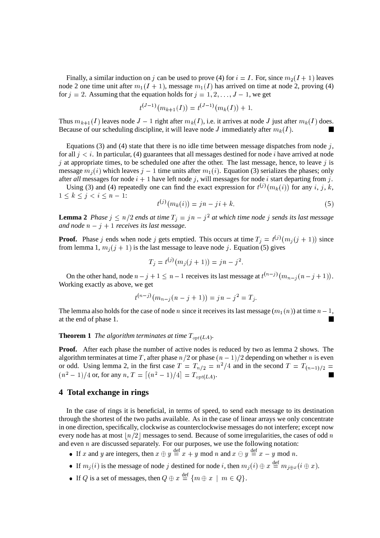Finally, a similar induction on j can be used to prove (4) for  $i = I$ . For, since  $m_2(I + 1)$  leaves node 2 one time unit after  $m_1(I + 1)$ , message  $m_1(I)$  has arrived on time at node 2, proving (4) for  $j = 2$ . Assuming that the equation holds for  $j = 1, 2, ..., J - 1$ , we get

$$
t^{(J-1)}(m_{k+1}(I)) = t^{(J-1)}(m_k(I)) + 1.
$$

Thus  $m_{k+1}(I)$  leaves node  $J-1$  right after  $m_k(I)$ , i.e. it arrives at node J just after  $m_k(I)$  does. Because of our scheduling discipline, it will leave node *J* immediately after  $m_k(I)$ .

Equations (3) and (4) state that there is no idle time between message dispatches from node  $j$ , for all  $j < i$ . In particular, (4) guarantees that all messages destined for node *i* have arrived at node  $j$  at appropriate times, to be scheduled one after the other. The last message, hence, to leave  $j$  is message  $m_j(i)$  which leaves  $j-1$  time units after  $m_1(i)$ . Equation (3) serializes the phases; only after all messages for node  $i + 1$  have left node j, will messages for node i start departing from j.

Using (3) and (4) repeatedly one can find the exact expression for  $t^{(j)}(m_k(i))$  for any i, j, k,  $1 \le k \le j < i \le n-1$ :

$$
t^{(j)}(m_k(i)) = jn - ji + k.
$$
 (5)

**Lemma 2** *Phase*  $j \leq n/2$  ends at time  $T_j = jn - j^2$  at which time node j sends its last message and node  $n - j + 1$  receives its last message.

**Proof.** Phase j ends when node j gets emptied. This occurs at time  $T_i = t^{(j)}(m_i(j+1))$  since from lemma 1,  $m_j(j + 1)$  is the last message to leave node j. Equation (5) gives

$$
T_j = t^{(j)}(m_j(j+1)) = jn - j^2.
$$

On the other hand, node  $n - j + 1 \leq n - 1$  receives its last message at  $t^{(n-j)}(m_n)$  $m_{n-j}(n-j+1)$ ). Working exactly as above, we get

$$
t^{(n-j)}(m_{n-j}(n-j+1)) = jn - j^{2} = T_{j}.
$$

The lemma also holds for the case of node *n* since it receives its last message  $(m_1(n))$  at time  $n-1$ , at the end of phase 1.

### **Theorem 1** *The algorithm terminates at time*  $T_{\text{opt}(LA)}$ .

**Proof.** After each phase the number of active nodes is reduced by two as lemma 2 shows. The algorithm terminates at time T, after phase  $n/2$  or phase  $(n-1)/2$  depending on whether n is even or odd. Using lemma 2, in the first case  $T = T_{n/2} = n^2/4$  and in the second  $T = T_{(n-1)/2} =$  $(n^2-1)/4$  or, for any  $n, T = [(n^2-1)/4] = T_{\text{opt}(LA)}$ .

## **4 Total exchange in rings**

In the case of rings it is beneficial, in terms of speed, to send each message to its destination through the shortest of the two paths available. As in the case of linear arrays we only concentrate in one direction, specifically, clockwise as counterclockwise messages do not interfere; except now every node has at most  $\lfloor n/2 \rfloor$  messages to send. Because of some irregularities, the cases of odd  $n$ and even  $n$  are discussed separately. For our purposes, we use the following notation:

- If x and y are integers, then  $x \oplus y \stackrel{\text{def}}{=} x + y \mod n$  and  $x \ominus y \stackrel{\text{def}}{=} x y \mod n$ .
- If  $m_i(i)$  is the message of node j destined for node i, then  $m_i(i) \oplus x \stackrel{\text{def}}{=} m_{i \oplus x}(i \oplus x)$  $_{j\oplus x}(i\oplus x).$
- If Q is a set of messages, then  $Q \oplus x \stackrel{\text{def}}{=} \{m \oplus x \mid m \in Q\}.$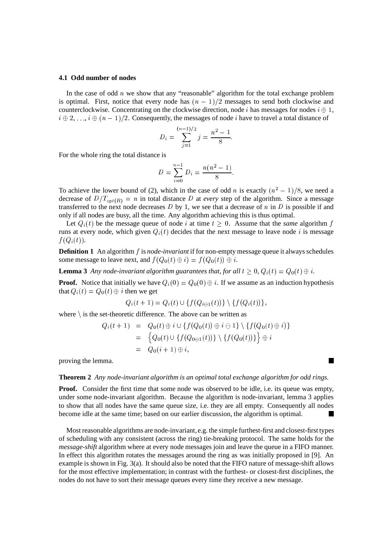#### **4.1 Odd number of nodes**

In the case of odd  $n$  we show that any "reasonable" algorithm for the total exchange problem is optimal. First, notice that every node has  $(n - 1)/2$  messages to send both clockwise and counterclockwise. Concentrating on the clockwise direction, node *i* has messages for nodes  $i \oplus 1$ ,  $i \oplus 2, \ldots, i \oplus (n-1)/2$ . Consequently, the messages of node i have to travel a total distance of

$$
D_i = \sum_{j=1}^{(n-1)/2} j = \frac{n^2 - 1}{8}.
$$

For the whole ring the total distance is

$$
D = \sum_{i=0}^{n-1} D_i = \frac{n(n^2 - 1)}{8}.
$$

To achieve the lower bound of (2), which in the case of odd *n* is exactly  $(n^2 - 1)/8$ , we need a decrease of  $D/T_{\text{opt}(R)} = n$  in total distance D at *every* step of the algorithm. Since a message transferred to the next node decreases  $D$  by 1, we see that a decrease of  $n$  in  $D$  is possible if and only if all nodes are busy, all the time. Any algorithm achieving this is thus optimal.

Let  $Q_i(t)$  be the message queue of node i at time  $t \geq 0$ . Assume that the *same* algorithm f runs at every node, which given  $Q_i(t)$  decides that the next message to leave node i is message  $f(Q_i(t)).$ 

**Definition 1** An algorithm f is *node-invariant* if for non-empty message queue it always schedules some message to leave next, and  $f(Q_0(t) \oplus i) = f(Q_0(t)) \oplus i$ .

**Lemma 3** Any node-invariant algorithm guarantees that, for all  $t \geq 0$ ,  $Q_i(t) = Q_0(t) \oplus i$ .

**Proof.** Notice that initially we have  $Q_i(0) = Q_0(0) \oplus i$ . If we assume as an induction hypothesis that  $Q_i(t) = Q_0(t) \oplus i$  then we get

$$
Q_i(t+1) = Q_i(t) \cup \{f(Q_{i \ominus 1}(t))\} \setminus \{f(Q_i(t))\},\
$$

where  $\setminus$  is the set-theoretic difference. The above can be written as

$$
Q_i(t+1) = Q_0(t) \oplus i \cup \{ f(Q_0(t)) \oplus i \ominus 1 \} \setminus \{ f(Q_0(t) \oplus i) \}
$$
  
= 
$$
\{ Q_0(t) \cup \{ f(Q_{0 \ominus 1}(t)) \} \setminus \{ f(Q_0(t)) \} \} \oplus i
$$
  
= 
$$
Q_0(i+1) \oplus i,
$$

proving the lemma.

#### **Theorem 2** *Any node-invariant algorithm is an optimal total exchange algorithm for odd rings.*

**Proof.** Consider the first time that some node was observed to be idle, i.e. its queue was empty, under some node-invariant algorithm. Because the algorithm is node-invariant, lemma 3 applies to show that all nodes have the same queue size, i.e. they are all empty. Consequently all nodes become idle at the same time; based on our earlier discussion, the algorithm is optimal.

Most reasonable algorithms are node-invariant, e.g. the simple furthest-first and closest-first types of scheduling with any consistent (across the ring) tie-breaking protocol. The same holds for the *message-shift* algorithm where at every node messages join and leave the queue in a FIFO manner. In effect this algorithm rotates the messages around the ring as was initially proposed in [9]. An example is shown in Fig. 3(a). It should also be noted that the FIFO nature of message-shift allows for the most effective implementation; in contrast with the furthest- or closest-first disciplines, the nodes do not have to sort their message queues every time they receive a new message.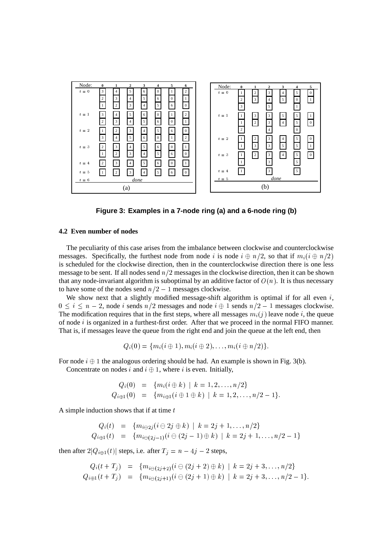

**Figure 3: Examples in a 7-node ring (a) and a 6-node ring (b)**

#### **4.2 Even number of nodes**

The peculiarity of this case arises from the imbalance between clockwise and counterclockwise messages. Specifically, the furthest node from node i is node  $i \oplus n/2$ , so that if  $m_i(i \oplus n/2)$ is scheduled for the clockwise direction, then in the counterclockwise direction there is one less message to be sent. If all nodes send  $n/2$  messages in the clockwise direction, then it can be shown that any node-invariant algorithm is suboptimal by an additive factor of  $O(n)$ . It is thus necessary to have some of the nodes send  $n/2 - 1$  messages clockwise.

We show next that a slightly modified message-shift algorithm is optimal if for all even  $i$ ,  $0 \le i \le n-2$ , node *i* sends  $n/2$  messages and node  $i \oplus 1$  sends  $n/2 - 1$  messages clockwise. The modification requires that in the first steps, where all messages  $m_i(j)$  leave node i, the queue of node  $i$  is organized in a furthest-first order. After that we proceed in the normal FIFO manner. That is, if messages leave the queue from the right end and join the queue at the left end, then

$$
Q_i(0) = \{m_i(i \oplus 1), m_i(i \oplus 2), \ldots, m_i(i \oplus n/2)\}.
$$

For node  $i \oplus 1$  the analogous ordering should be had. An example is shown in Fig. 3(b).

Concentrate on nodes i and  $i \oplus 1$ , where i is even. Initially,

$$
Q_i(0) = \{m_i(i \oplus k) \mid k = 1, 2, \ldots, n/2\}
$$
  
\n
$$
Q_{i \oplus 1}(0) = \{m_{i \oplus 1}(i \oplus 1 \oplus k) \mid k = 1, 2, \ldots, n/2 - 1\}.
$$

A simple induction shows that if at time  $t$ 

$$
Q_i(t) = \{m_{i\ominus 2j}(i\ominus 2j\oplus k) \mid k=2j+1,\ldots,n/2\}
$$
  
\n
$$
Q_{i\oplus 1}(t) = \{m_{i\ominus (2j-1)}(i\ominus (2j-1)\oplus k) \mid k=2j+1,\ldots,n/2-1\}
$$

then after  $2|Q_{i\oplus 1}(t)|$  steps, i.e. after  $T_j = n - 4j - 2$  steps,

$$
Q_i(t+T_j) = \{m_{i\ominus(2j+2)}(i\ominus(2j+2)\oplus k) \mid k=2j+3,\ldots,n/2\}
$$
  
\n
$$
Q_{i\oplus 1}(t+T_j) = \{m_{i\ominus(2j+1)}(i\ominus(2j+1)\oplus k) \mid k=2j+3,\ldots,n/2-1\}.
$$